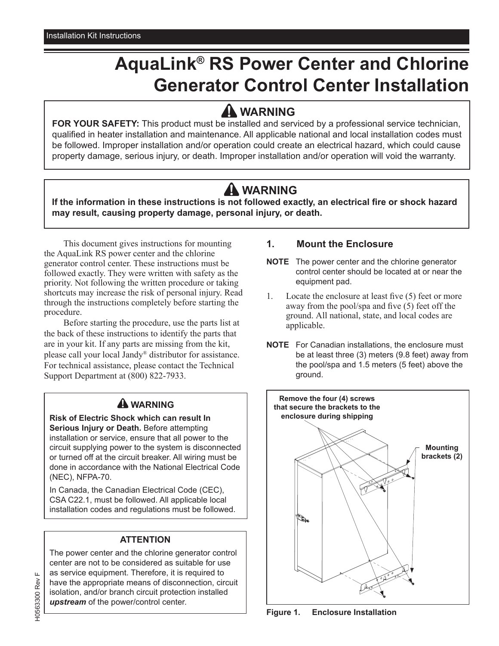# **AquaLink® RS Power Center and Chlorine Generator Control Center Installation**

### **WARNING**

**FOR YOUR SAFETY:** This product must be installed and serviced by a professional service technician, qualified in heater installation and maintenance. All applicable national and local installation codes must be followed. Improper installation and/or operation could create an electrical hazard, which could cause property damage, serious injury, or death. Improper installation and/or operation will void the warranty.

## **WARNING**

**If the information in these instructions is not followed exactly, an electrical fire or shock hazard may result, causing property damage, personal injury, or death.**

This document gives instructions for mounting the AquaLink RS power center and the chlorine generator control center. These instructions must be followed exactly. They were written with safety as the priority. Not following the written procedure or taking shortcuts may increase the risk of personal injury. Read through the instructions completely before starting the procedure.

Before starting the procedure, use the parts list at the back of these instructions to identify the parts that are in your kit. If any parts are missing from the kit, please call your local Jandy® distributor for assistance. For technical assistance, please contact the Technical Support Department at (800) 822-7933.

### **WARNING**

**Risk of Electric Shock which can result In Serious Injury or Death.** Before attempting installation or service, ensure that all power to the circuit supplying power to the system is disconnected or turned off at the circuit breaker. All wiring must be done in accordance with the National Electrical Code (NEC), NFPA-70.

In Canada, the Canadian Electrical Code (CEC), CSA C22.1, must be followed. All applicable local installation codes and regulations must be followed.

#### **ATTENTION**

The power center and the chlorine generator control center are not to be considered as suitable for use as service equipment. Therefore, it is required to have the appropriate means of disconnection, circuit isolation, and/or branch circuit protection installed *upstream* of the power/control center.

#### **1. Mount the Enclosure**

- **NOTE** The power center and the chlorine generator control center should be located at or near the equipment pad.
- 1. Locate the enclosure at least five (5) feet or more away from the pool/spa and five (5) feet off the ground. All national, state, and local codes are applicable.
- **NOTE** For Canadian installations, the enclosure must be at least three (3) meters (9.8 feet) away from the pool/spa and 1.5 meters (5 feet) above the ground.



**Figure 1. Enclosure Installation**